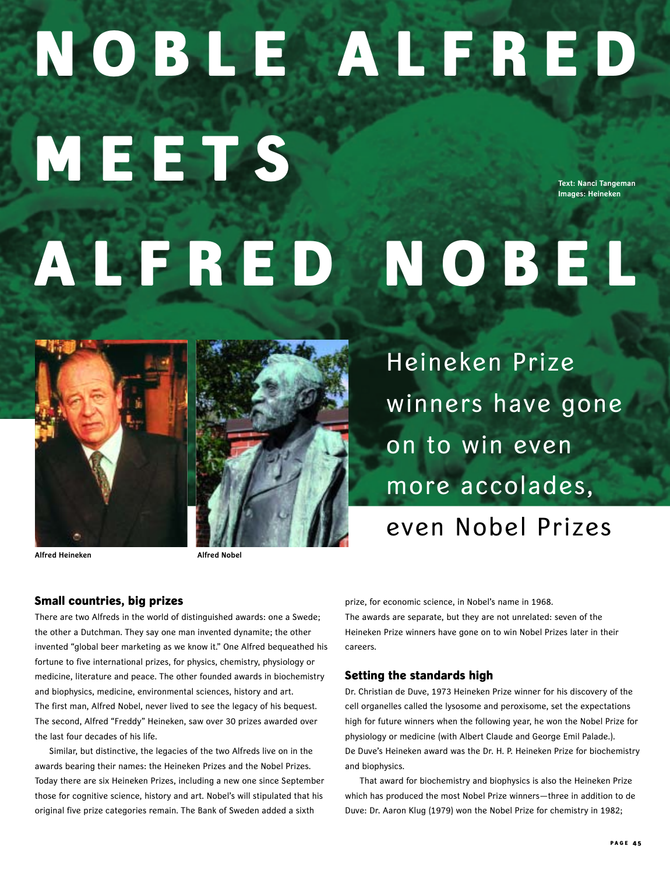# **November 2005 NOBLE ALFRED MEETS ALFRED NOBEL Text: Nanci Tangeman Images: Heineken**



**Alfred Heineken Alfred Nobel**

# **Small countries, big prizes**

There are two Alfreds in the world of distinguished awards: one a Swede; the other a Dutchman. They say one man invented dynamite; the other invented "global beer marketing as we know it." One Alfred bequeathed his fortune to five international prizes, for physics, chemistry, physiology or medicine, literature and peace. The other founded awards in biochemistry and biophysics, medicine, environmental sciences, history and art. The first man, Alfred Nobel, never lived to see the legacy of his bequest. The second, Alfred "Freddy" Heineken, saw over 30 prizes awarded over the last four decades of his life.

Similar, but distinctive, the legacies of the two Alfreds live on in the awards bearing their names: the Heineken Prizes and the Nobel Prizes. Today there are six Heineken Prizes, including a new one since September those for cognitive science, history and art. Nobel's will stipulated that his original five prize categories remain. The Bank of Sweden added a sixth

Heineken Prize winners have gone on to win even more accolades, even Nobel Prizes

prize, for economic science, in Nobel's name in 1968. The awards are separate, but they are not unrelated: seven of the Heineken Prize winners have gone on to win Nobel Prizes later in their careers.

### **Setting the standards high**

Dr. Christian de Duve, 1973 Heineken Prize winner for his discovery of the cell organelles called the lysosome and peroxisome, set the expectations high for future winners when the following year, he won the Nobel Prize for physiology or medicine (with Albert Claude and George Emil Palade.). De Duve's Heineken award was the Dr. H. P. Heineken Prize for biochemistry and biophysics.

That award for biochemistry and biophysics is also the Heineken Prize which has produced the most Nobel Prize winners—three in addition to de Duve: Dr. Aaron Klug (1979) won the Nobel Prize for chemistry in 1982;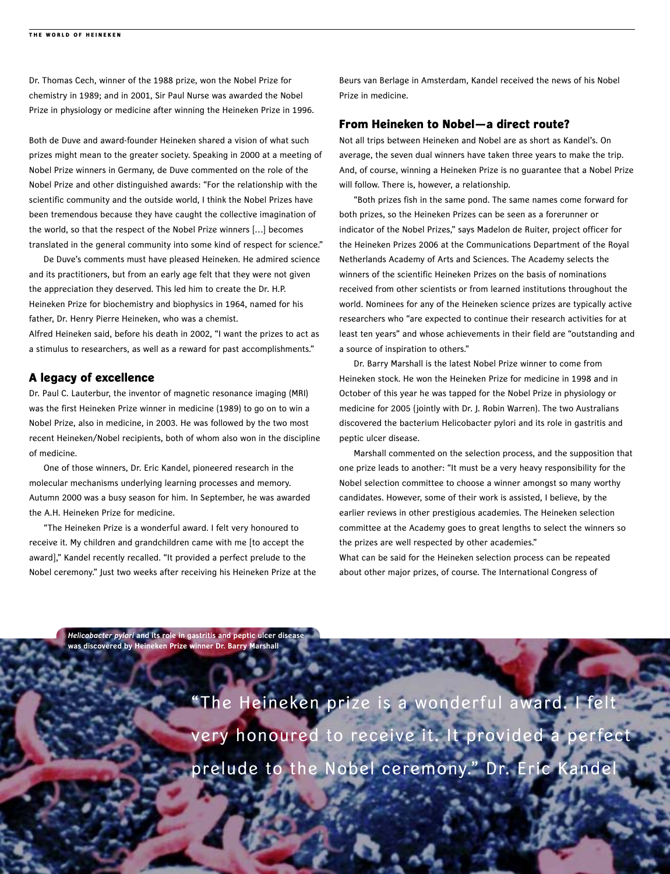Dr. Thomas Cech, winner of the 1988 prize, won the Nobel Prize for chemistry in 1989; and in 2001, Sir Paul Nurse was awarded the Nobel Prize in physiology or medicine after winning the Heineken Prize in 1996.

Both de Duve and award-founder Heineken shared a vision of what such prizes might mean to the greater society. Speaking in 2000 at a meeting of Nobel Prize winners in Germany, de Duve commented on the role of the Nobel Prize and other distinguished awards: "For the relationship with the scientific community and the outside world, I think the Nobel Prizes have been tremendous because they have caught the collective imagination of the world, so that the respect of the Nobel Prize winners […] becomes translated in the general community into some kind of respect for science."

De Duve's comments must have pleased Heineken. He admired science and its practitioners, but from an early age felt that they were not given the appreciation they deserved. This led him to create the Dr. H.P. Heineken Prize for biochemistry and biophysics in 1964, named for his father, Dr. Henry Pierre Heineken, who was a chemist.

Alfred Heineken said, before his death in 2002, "I want the prizes to act as a stimulus to researchers, as well as a reward for past accomplishments."

## **A legacy of excellence**

**P A GE** 

Dr. Paul C. Lauterbur, the inventor of magnetic resonance imaging (MRI) was the first Heineken Prize winner in medicine (1989) to go on to win a Nobel Prize, also in medicine, in 2003. He was followed by the two most recent Heineken/Nobel recipients, both of whom also won in the discipline of medicine.

One of those winners, Dr. Eric Kandel, pioneered research in the molecular mechanisms underlying learning processes and memory. Autumn 2000 was a busy season for him. In September, he was awarded the A.H. Heineken Prize for medicine.

"The Heineken Prize is a wonderful award. I felt very honoured to receive it. My children and grandchildren came with me [to accept the award]," Kandel recently recalled. "It provided a perfect prelude to the Nobel ceremony." Just two weeks after receiving his Heineken Prize at the Beurs van Berlage in Amsterdam, Kandel received the news of his Nobel Prize in medicine.

### **From Heineken to Nobel—a direct route?**

Not all trips between Heineken and Nobel are as short as Kandel's. On average, the seven dual winners have taken three years to make the trip. And, of course, winning a Heineken Prize is no guarantee that a Nobel Prize will follow. There is, however, a relationship.

"Both prizes fish in the same pond. The same names come forward for both prizes, so the Heineken Prizes can be seen as a forerunner or indicator of the Nobel Prizes," says Madelon de Ruiter, project officer for the Heineken Prizes 2006 at the Communications Department of the Royal Netherlands Academy of Arts and Sciences. The Academy selects the winners of the scientific Heineken Prizes on the basis of nominations received from other scientists or from learned institutions throughout the world. Nominees for any of the Heineken science prizes are typically active researchers who "are expected to continue their research activities for at least ten years" and whose achievements in their field are "outstanding and a source of inspiration to others."

Dr. Barry Marshall is the latest Nobel Prize winner to come from Heineken stock. He won the Heineken Prize for medicine in 1998 and in October of this year he was tapped for the Nobel Prize in physiology or medicine for 2005 (jointly with Dr. J. Robin Warren). The two Australians discovered the bacterium Helicobacter pylori and its role in gastritis and peptic ulcer disease.

Marshall commented on the selection process, and the supposition that one prize leads to another: "It must be a very heavy responsibility for the Nobel selection committee to choose a winner amongst so many worthy candidates. However, some of their work is assisted, I believe, by the earlier reviews in other prestigious academies. The Heineken selection committee at the Academy goes to great lengths to select the winners so the prizes are well respected by other academies." What can be said for the Heineken selection process can be repeated about other major prizes, of course. The International Congress of

*Helicobacter pylori* **and its role in gastritis and peptic ulcer disease was discovered by Heineken Prize winner Dr. Barry Marshall**

> "The Heineken prize is a wonderful award. I felt very honoured to receive it. It provided a perfect prelude to the Nobel ceremony." Dr. Eric Kandel